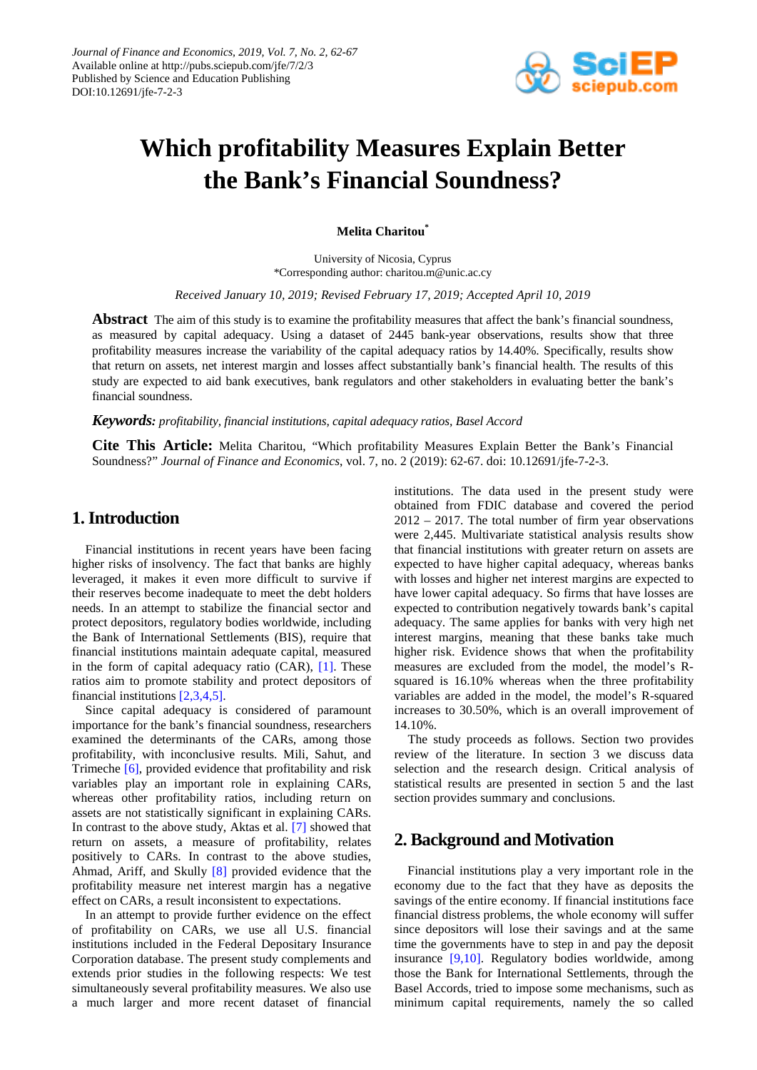

# **Which profitability Measures Explain Better the Bank's Financial Soundness?**

**Melita Charitou\***

University of Nicosia, Cyprus \*Corresponding author: charitou.m@unic.ac.cy

*Received January 10, 2019; Revised February 17, 2019; Accepted April 10, 2019*

**Abstract** The aim of this study is to examine the profitability measures that affect the bank's financial soundness, as measured by capital adequacy. Using a dataset of 2445 bank-year observations, results show that three profitability measures increase the variability of the capital adequacy ratios by 14.40%. Specifically, results show that return on assets, net interest margin and losses affect substantially bank's financial health. The results of this study are expected to aid bank executives, bank regulators and other stakeholders in evaluating better the bank's financial soundness.

*Keywords: profitability, financial institutions, capital adequacy ratios, Basel Accord*

**Cite This Article:** Melita Charitou, "Which profitability Measures Explain Better the Bank's Financial Soundness?" *Journal of Finance and Economics*, vol. 7, no. 2 (2019): 62-67. doi: 10.12691/jfe-7-2-3.

# **1. Introduction**

Financial institutions in recent years have been facing higher risks of insolvency. The fact that banks are highly leveraged, it makes it even more difficult to survive if their reserves become inadequate to meet the debt holders needs. In an attempt to stabilize the financial sector and protect depositors, regulatory bodies worldwide, including the Bank of International Settlements (BIS), require that financial institutions maintain adequate capital, measured in the form of capital adequacy ratio (CAR), [\[1\].](#page-5-0) These ratios aim to promote stability and protect depositors of financial institutions [\[2,3,4,5\].](#page-5-1)

Since capital adequacy is considered of paramount importance for the bank's financial soundness, researchers examined the determinants of the CARs, among those profitability, with inconclusive results. Mili, Sahut, and Trimeche [\[6\],](#page-5-2) provided evidence that profitability and risk variables play an important role in explaining CARs, whereas other profitability ratios, including return on assets are not statistically significant in explaining CARs. In contrast to the above study, Aktas et al. [\[7\]](#page-5-3) showed that return on assets, a measure of profitability, relates positively to CARs. In contrast to the above studies, Ahmad, Ariff, and Skully [\[8\]](#page-5-4) provided evidence that the profitability measure net interest margin has a negative effect on CARs, a result inconsistent to expectations.

In an attempt to provide further evidence on the effect of profitability on CARs, we use all U.S. financial institutions included in the Federal Depositary Insurance Corporation database. The present study complements and extends prior studies in the following respects: We test simultaneously several profitability measures. We also use a much larger and more recent dataset of financial institutions. The data used in the present study were obtained from FDIC database and covered the period 2012 – 2017. The total number of firm year observations were 2,445. Multivariate statistical analysis results show that financial institutions with greater return on assets are expected to have higher capital adequacy, whereas banks with losses and higher net interest margins are expected to have lower capital adequacy. So firms that have losses are expected to contribution negatively towards bank's capital adequacy. The same applies for banks with very high net interest margins, meaning that these banks take much higher risk. Evidence shows that when the profitability measures are excluded from the model, the model's Rsquared is 16.10% whereas when the three profitability variables are added in the model, the model's R-squared increases to 30.50%, which is an overall improvement of 14.10%.

The study proceeds as follows. Section two provides review of the literature. In section 3 we discuss data selection and the research design. Critical analysis of statistical results are presented in section 5 and the last section provides summary and conclusions.

# **2. Background and Motivation**

Financial institutions play a very important role in the economy due to the fact that they have as deposits the savings of the entire economy. If financial institutions face financial distress problems, the whole economy will suffer since depositors will lose their savings and at the same time the governments have to step in and pay the deposit insurance [\[9,10\].](#page-5-5) Regulatory bodies worldwide, among those the Bank for International Settlements, through the Basel Accords, tried to impose some mechanisms, such as minimum capital requirements, namely the so called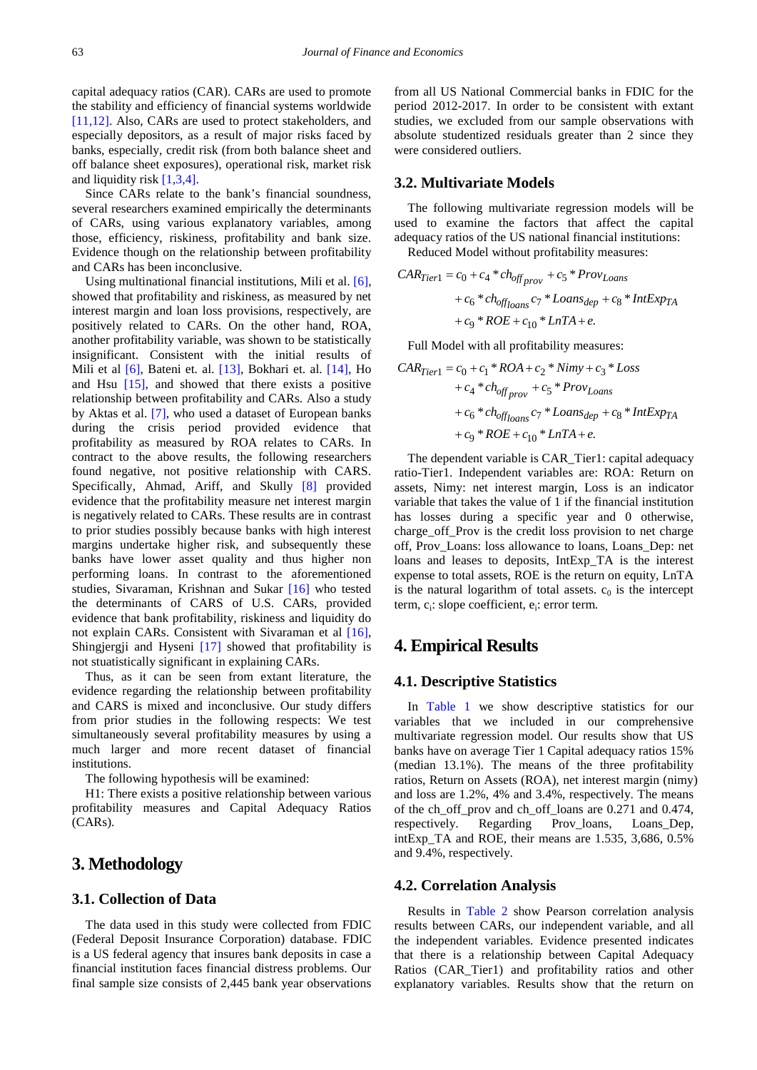capital adequacy ratios (CAR). CARs are used to promote the stability and efficiency of financial systems worldwide [\[11,12\].](#page-5-6) Also, CARs are used to protect stakeholders, and especially depositors, as a result of major risks faced by banks, especially, credit risk (from both balance sheet and off balance sheet exposures), operational risk, market risk and liquidity risk [\[1,3,4\].](#page-5-0)

Since CARs relate to the bank's financial soundness, several researchers examined empirically the determinants of CARs, using various explanatory variables, among those, efficiency, riskiness, profitability and bank size. Evidence though on the relationship between profitability and CARs has been inconclusive.

Using multinational financial institutions, Mili et al. [\[6\],](#page-5-2) showed that profitability and riskiness, as measured by net interest margin and loan loss provisions, respectively, are positively related to CARs. On the other hand, ROA, another profitability variable, was shown to be statistically insignificant. Consistent with the initial results of Mili et al [\[6\],](#page-5-2) Bateni et. al. [\[13\],](#page-5-7) Bokhari et. al. [\[14\],](#page-5-8) Ho and Hsu [\[15\],](#page-5-9) and showed that there exists a positive relationship between profitability and CARs. Also a study by Aktas et al. [\[7\],](#page-5-3) who used a dataset of European banks during the crisis period provided evidence that profitability as measured by ROA relates to CARs. In contract to the above results, the following researchers found negative, not positive relationship with CARS. Specifically, Ahmad, Ariff, and Skully [\[8\]](#page-5-4) provided evidence that the profitability measure net interest margin is negatively related to CARs. These results are in contrast to prior studies possibly because banks with high interest margins undertake higher risk, and subsequently these banks have lower asset quality and thus higher non performing loans. In contrast to the aforementioned studies, Sivaraman, Krishnan and Sukar [\[16\]](#page-5-10) who tested the determinants of CARS of U.S. CARs, provided evidence that bank profitability, riskiness and liquidity do not explain CARs. Consistent with Sivaraman et al [\[16\],](#page-5-10) Shingjergji and Hyseni [\[17\]](#page-5-11) showed that profitability is not stuatistically significant in explaining CARs.

Thus, as it can be seen from extant literature, the evidence regarding the relationship between profitability and CARS is mixed and inconclusive. Our study differs from prior studies in the following respects: We test simultaneously several profitability measures by using a much larger and more recent dataset of financial institutions.

The following hypothesis will be examined:

H1: There exists a positive relationship between various profitability measures and Capital Adequacy Ratios (CARs).

# **3. Methodology**

## **3.1. Collection of Data**

The data used in this study were collected from FDIC (Federal Deposit Insurance Corporation) database. FDIC is a US federal agency that insures bank deposits in case a financial institution faces financial distress problems. Our final sample size consists of 2,445 bank year observations from all US National Commercial banks in FDIC for the period 2012-2017. In order to be consistent with extant studies, we excluded from our sample observations with absolute studentized residuals greater than 2 since they were considered outliers.

## **3.2. Multivariate Models**

The following multivariate regression models will be used to examine the factors that affect the capital adequacy ratios of the US national financial institutions:

Reduced Model without profitability measures:

$$
CAR_{Tier1} = c_0 + c_4 * ch_{off_{prov}} + c_5 * Prov_{Loans}
$$
  
+  $c_6 * ch_{off loans} c_7 * Loans_{dep} + c_8 * IntExp_{TA}$   
+  $c_9 * ROE + c_{10} * LnTA + e$ .

Full Model with all profitability measures:

$$
CAR_{Tier1} = c_0 + c_1 * ROA + c_2 * Nimy + c_3 * Loss
$$
  
+  $c_4 * ch_{off_{prov}} + c_5 * Prov_{Loans}$   
+  $c_6 * ch_{off_{Ioans}} c_7 * Loss_{dep} + c_8 * IntExp_{TA}$   
+  $c_9 * ROE + c_{10} * LnTA + e$ .

The dependent variable is CAR\_Tier1: capital adequacy ratio-Tier1. Independent variables are: ROA: Return on assets, Nimy: net interest margin, Loss is an indicator variable that takes the value of 1 if the financial institution has losses during a specific year and 0 otherwise, charge off Prov is the credit loss provision to net charge off, Prov\_Loans: loss allowance to loans, Loans\_Dep: net loans and leases to deposits, IntExp\_TA is the interest expense to total assets, ROE is the return on equity, LnTA is the natural logarithm of total assets.  $c_0$  is the intercept term, c<sub>i</sub>: slope coefficient, e<sub>i</sub>: error term.

# **4. Empirical Results**

### **4.1. Descriptive Statistics**

In [Table 1](#page-2-0) we show descriptive statistics for our variables that we included in our comprehensive multivariate regression model. Our results show that US banks have on average Tier 1 Capital adequacy ratios 15% (median 13.1%). The means of the three profitability ratios, Return on Assets (ROA), net interest margin (nimy) and loss are 1.2%, 4% and 3.4%, respectively. The means of the ch\_off\_prov and ch\_off\_loans are 0.271 and 0.474, respectively. Regarding Prov loans, Loans Dep, intExp\_TA and ROE, their means are 1.535, 3,686, 0.5% and 9.4%, respectively.

#### **4.2. Correlation Analysis**

Results in [Table 2](#page-2-1) show Pearson correlation analysis results between CARs, our independent variable, and all the independent variables. Evidence presented indicates that there is a relationship between Capital Adequacy Ratios (CAR\_Tier1) and profitability ratios and other explanatory variables. Results show that the return on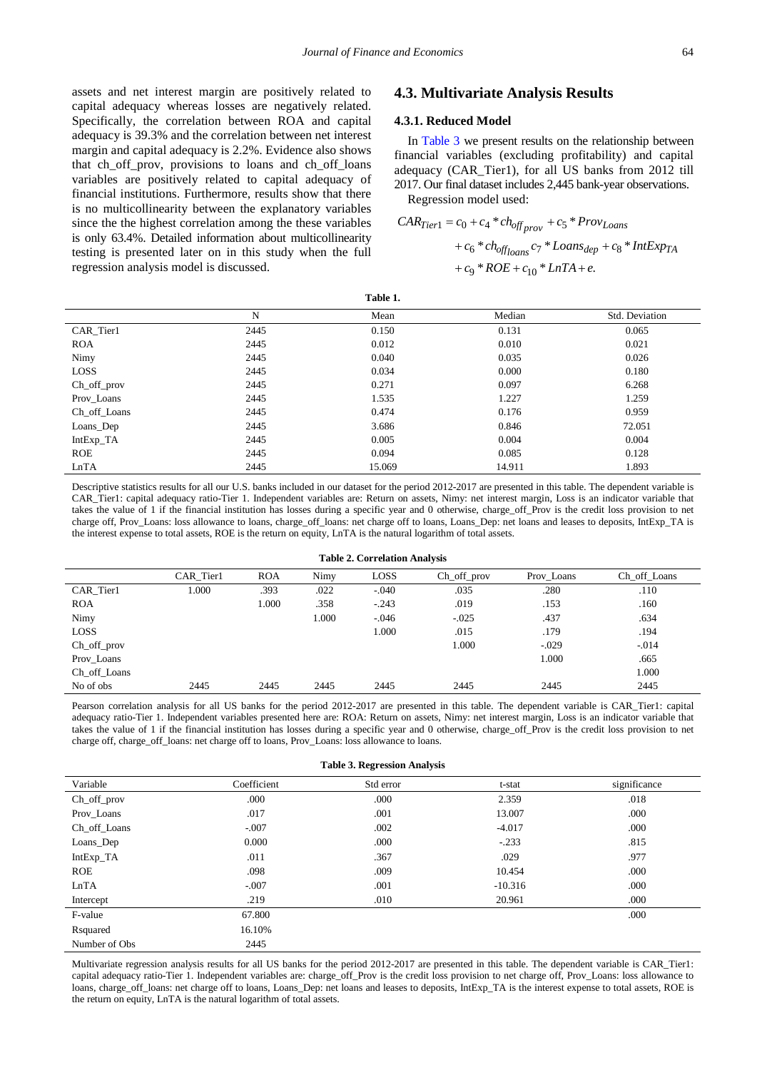assets and net interest margin are positively related to capital adequacy whereas losses are negatively related. Specifically, the correlation between ROA and capital adequacy is 39.3% and the correlation between net interest margin and capital adequacy is 2.2%. Evidence also shows that ch\_off\_prov, provisions to loans and ch\_off\_loans variables are positively related to capital adequacy of financial institutions. Furthermore, results show that there is no multicollinearity between the explanatory variables since the the highest correlation among the these variables is only 63.4%. Detailed information about multicollinearity testing is presented later on in this study when the full regression analysis model is discussed.

## **4.3. Multivariate Analysis Results**

## **4.3.1. Reduced Model**

In [Table 3](#page-2-2) we present results on the relationship between financial variables (excluding profitability) and capital adequacy (CAR\_Tier1), for all US banks from 2012 till 2017. Our final dataset includes 2,445 bank-year observations. Regression model used:

$$
CAR_{Tier1} = c_0 + c_4 * ch_{off_{prov}} + c_5 * Prov_{Loans}
$$
  
+  $c_6 * ch_{offloans} c_7 * Loans_{dep} + c_8 * IntExp_{TA}$   
+  $c_9 * ROE + c_{10} * LnTA + e$ .

| 'able |  |
|-------|--|
|-------|--|

<span id="page-2-0"></span>

|              | N    | Mean   | Median | Std. Deviation |
|--------------|------|--------|--------|----------------|
| CAR_Tier1    | 2445 | 0.150  | 0.131  | 0.065          |
| <b>ROA</b>   | 2445 | 0.012  | 0.010  | 0.021          |
| Nimy         | 2445 | 0.040  | 0.035  | 0.026          |
| <b>LOSS</b>  | 2445 | 0.034  | 0.000  | 0.180          |
| Ch_off_prov  | 2445 | 0.271  | 0.097  | 6.268          |
| Prov_Loans   | 2445 | 1.535  | 1.227  | 1.259          |
| Ch_off_Loans | 2445 | 0.474  | 0.176  | 0.959          |
| Loans_Dep    | 2445 | 3.686  | 0.846  | 72.051         |
| IntExp_TA    | 2445 | 0.005  | 0.004  | 0.004          |
| <b>ROE</b>   | 2445 | 0.094  | 0.085  | 0.128          |
| LnTA         | 2445 | 15.069 | 14.911 | 1.893          |

Descriptive statistics results for all our U.S. banks included in our dataset for the period 2012-2017 are presented in this table. The dependent variable is CAR\_Tier1: capital adequacy ratio-Tier 1. Independent variables are: Return on assets, Nimy: net interest margin, Loss is an indicator variable that takes the value of 1 if the financial institution has losses during a specific year and 0 otherwise, charge off Prov is the credit loss provision to net charge off, Prov\_Loans: loss allowance to loans, charge\_off\_loans: net charge off to loans, Loans\_Dep: net loans and leases to deposits, IntExp\_TA is the interest expense to total assets, ROE is the return on equity, LnTA is the natural logarithm of total assets.

#### **Table 2. Correlation Analysis**

<span id="page-2-1"></span>

|               | CAR Tier1 | <b>ROA</b> | Nimy  | LOSS    | $Ch_off_prov$ | Prov Loans | Ch off Loans |
|---------------|-----------|------------|-------|---------|---------------|------------|--------------|
| CAR Tier1     | .000      | .393       | .022  | $-.040$ | .035          | .280       | .110         |
| <b>ROA</b>    |           | 000.1      | .358  | $-.243$ | .019          | .153       | .160         |
| Nimy          |           |            | 1.000 | $-.046$ | $-.025$       | .437       | .634         |
| <b>LOSS</b>   |           |            |       | 1.000   | .015          | .179       | .194         |
| $Ch_of\_prov$ |           |            |       |         | 1.000         | $-.029$    | $-.014$      |
| Prov_Loans    |           |            |       |         |               | 1.000      | .665         |
| Ch off Loans  |           |            |       |         |               |            | 1.000        |
| No of obs     | 2445      | 2445       | 2445  | 2445    | 2445          | 2445       | 2445         |

Pearson correlation analysis for all US banks for the period 2012-2017 are presented in this table. The dependent variable is CAR\_Tier1: capital adequacy ratio-Tier 1. Independent variables presented here are: ROA: Return on assets, Nimy: net interest margin, Loss is an indicator variable that takes the value of 1 if the financial institution has losses during a specific year and 0 otherwise, charge\_off\_Prov is the credit loss provision to net charge off, charge\_off\_loans: net charge off to loans, Prov\_Loans: loss allowance to loans.

<span id="page-2-2"></span>

| <b>Table 3. Regression Analysis</b> |             |           |           |              |  |  |
|-------------------------------------|-------------|-----------|-----------|--------------|--|--|
| Variable                            | Coefficient | Std error | t-stat    | significance |  |  |
| Ch_off_prov                         | .000        | .000      | 2.359     | .018         |  |  |
| Prov_Loans                          | .017        | .001      | 13.007    | .000         |  |  |
| Ch_off_Loans                        | $-.007$     | .002      | $-4.017$  | .000         |  |  |
| Loans_Dep                           | 0.000       | .000      | $-.233$   | .815         |  |  |
| IntExp_TA                           | .011        | .367      | .029      | .977         |  |  |
| <b>ROE</b>                          | .098        | .009      | 10.454    | .000         |  |  |
| LnTA                                | $-.007$     | .001      | $-10.316$ | .000         |  |  |
| Intercept                           | .219        | .010      | 20.961    | .000         |  |  |
| F-value                             | 67.800      |           |           | .000         |  |  |
| Rsquared                            | 16.10%      |           |           |              |  |  |
| Number of Obs                       | 2445        |           |           |              |  |  |

Multivariate regression analysis results for all US banks for the period 2012-2017 are presented in this table. The dependent variable is CAR\_Tier1: capital adequacy ratio-Tier 1. Independent variables are: charge\_off\_Prov is the credit loss provision to net charge off, Prov\_Loans: loss allowance to loans, charge\_off\_loans: net charge off to loans, Loans\_Dep: net loans and leases to deposits, IntExp\_TA is the interest expense to total assets, ROE is the return on equity, LnTA is the natural logarithm of total assets.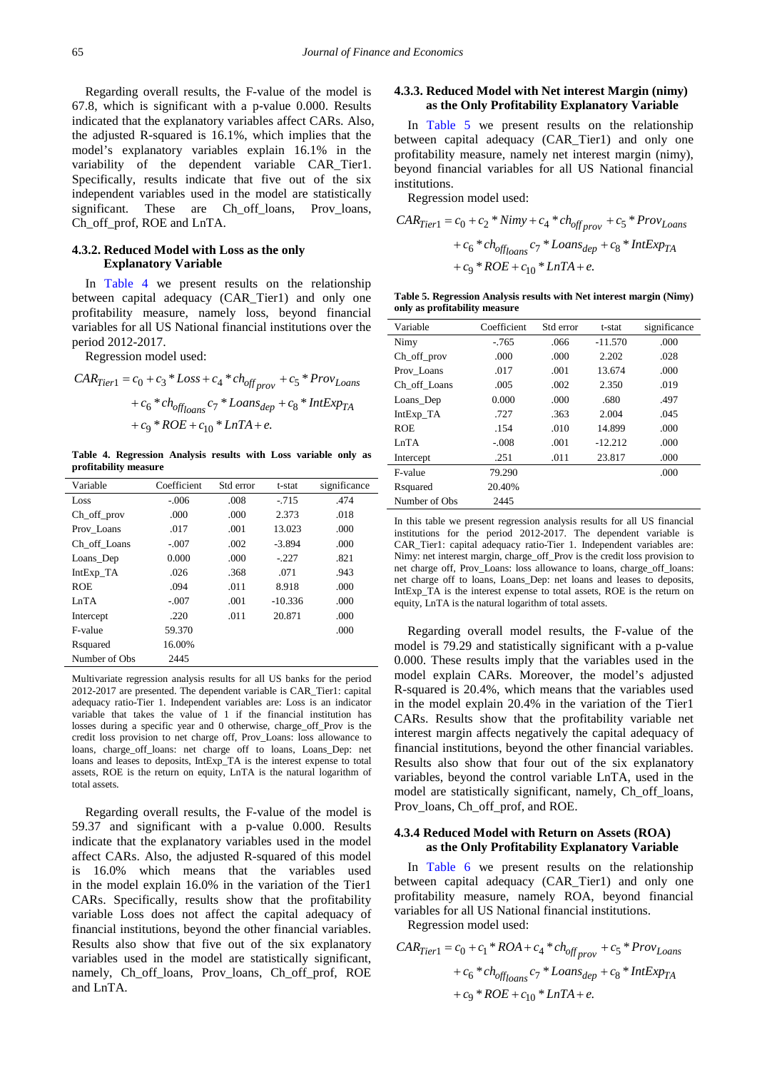Regarding overall results, the F-value of the model is 67.8, which is significant with a p-value 0.000. Results indicated that the explanatory variables affect CARs. Also, the adjusted R-squared is 16.1%, which implies that the model's explanatory variables explain 16.1% in the variability of the dependent variable CAR\_Tier1. Specifically, results indicate that five out of the six independent variables used in the model are statistically significant. These are Ch off loans, Prov loans, Ch\_off\_prof, ROE and LnTA.

#### **4.3.2. Reduced Model with Loss as the only Explanatory Variable**

In [Table 4](#page-3-0) we present results on the relationship between capital adequacy (CAR\_Tier1) and only one profitability measure, namely loss, beyond financial variables for all US National financial institutions over the period 2012-2017.

Regression model used:

$$
CAR_{Tier1} = c_0 + c_3 * Loss + c_4 * ch_{off_{prov}} + c_5 * Prov_{Loans}
$$

$$
+ c_6 * ch_{offloans} c_7 * Loans_{dep} + c_8 * IntExp_{TA}
$$

$$
+ c_9 * ROE + c_{10} * LnTA + e.
$$

**Table 4. Regression Analysis results with Loss variable only as profitability measure**

<span id="page-3-0"></span>

| Variable       | Coefficient | Std error | t-stat    | significance |
|----------------|-------------|-----------|-----------|--------------|
| Loss           | $-.006$     | .008      | $-715$    | .474         |
| Ch off prov    | .000        | .000      | 2.373     | .018         |
| Prov Loans     | .017        | .001      | 13.023    | .000         |
| Ch off Loans   | $-.007$     | .002      | $-3.894$  | .000         |
| Loans_Dep      | 0.000       | .000      | $-.227$   | .821         |
| IntExp_TA      | .026        | .368      | .071      | .943         |
| <b>ROE</b>     | .094        | .011      | 8.918     | .000         |
| LnTA           | $-.007$     | .001      | $-10.336$ | .000         |
| Intercept      | .220        | .011      | 20.871    | .000         |
| F-value        | 59.370      |           |           | .000         |
| Rsquared       | 16.00%      |           |           |              |
| Number of Obs. | 2445        |           |           |              |

Multivariate regression analysis results for all US banks for the period 2012-2017 are presented. The dependent variable is CAR\_Tier1: capital adequacy ratio-Tier 1. Independent variables are: Loss is an indicator variable that takes the value of 1 if the financial institution has losses during a specific year and 0 otherwise, charge\_off\_Prov is the credit loss provision to net charge off, Prov\_Loans: loss allowance to loans, charge off loans: net charge off to loans, Loans Dep: net loans and leases to deposits, IntExp\_TA is the interest expense to total assets, ROE is the return on equity, LnTA is the natural logarithm of total assets.

Regarding overall results, the F-value of the model is 59.37 and significant with a p-value 0.000. Results indicate that the explanatory variables used in the model affect CARs. Also, the adjusted R-squared of this model is 16.0% which means that the variables used in the model explain 16.0% in the variation of the Tier1 CARs. Specifically, results show that the profitability variable Loss does not affect the capital adequacy of financial institutions, beyond the other financial variables. Results also show that five out of the six explanatory variables used in the model are statistically significant, namely, Ch\_off\_loans, Prov\_loans, Ch\_off\_prof, ROE and LnTA.

## **4.3.3. Reduced Model with Net interest Margin (nimy) as the Only Profitability Explanatory Variable**

In [Table 5](#page-3-1) we present results on the relationship between capital adequacy (CAR\_Tier1) and only one profitability measure, namely net interest margin (nimy), beyond financial variables for all US National financial institutions.

Regression model used:

$$
CAR_{Tier1} = c_0 + c_2 * Nimy + c_4 * ch_{off_{prov}} + c_5 * Prov_{Loans}
$$

$$
+ c_6 * ch_{offioans} c_7 * Loans_{dep} + c_8 * IntExp_{TA}
$$

$$
+ c_9 * ROE + c_{10} * LnTA + e.
$$

**Table 5. Regression Analysis results with Net interest margin (Nimy) only as profitability measure**

<span id="page-3-1"></span>

| Variable           | Coefficient | Std error | t-stat    | significance |
|--------------------|-------------|-----------|-----------|--------------|
| Nimy               | $-765$      | .066      | $-11.570$ | .000         |
| $Ch_$ off $_$ prov | .000        | .000      | 2.202     | .028         |
| Prov Loans         | .017        | .001      | 13.674    | .000         |
| Ch off Loans       | .005        | .002      | 2.350     | .019         |
| Loans_Dep          | 0.000       | .000      | .680      | .497         |
| IntExp_TA          | .727        | .363      | 2.004     | .045         |
| <b>ROE</b>         | .154        | .010      | 14.899    | .000         |
| LnTA               | $-.008$     | .001      | $-12.212$ | .000         |
| Intercept          | .251        | .011      | 23.817    | .000         |
| F-value            | 79.290      |           |           | .000         |
| Rsquared           | 20.40%      |           |           |              |
| Number of Obs      | 2445        |           |           |              |

In this table we present regression analysis results for all US financial institutions for the period 2012-2017. The dependent variable is CAR\_Tier1: capital adequacy ratio-Tier 1. Independent variables are: Nimy: net interest margin, charge\_off\_Prov is the credit loss provision to net charge off, Prov\_Loans: loss allowance to loans, charge\_off\_loans: net charge off to loans, Loans\_Dep: net loans and leases to deposits, IntExp\_TA is the interest expense to total assets, ROE is the return on equity, LnTA is the natural logarithm of total assets.

Regarding overall model results, the F-value of the model is 79.29 and statistically significant with a p-value 0.000. These results imply that the variables used in the model explain CARs. Moreover, the model's adjusted R-squared is 20.4%, which means that the variables used in the model explain 20.4% in the variation of the Tier1 CARs. Results show that the profitability variable net interest margin affects negatively the capital adequacy of financial institutions, beyond the other financial variables. Results also show that four out of the six explanatory variables, beyond the control variable LnTA, used in the model are statistically significant, namely, Ch\_off\_loans, Prov\_loans, Ch\_off\_prof, and ROE.

#### **4.3.4 Reduced Model with Return on Assets (ROA) as the Only Profitability Explanatory Variable**

In [Table 6](#page-4-0) we present results on the relationship between capital adequacy (CAR\_Tier1) and only one profitability measure, namely ROA, beyond financial variables for all US National financial institutions.

Regression model used:

$$
CAR_{Tier1} = c_0 + c_1 * ROA + c_4 * ch_{off_{prov}} + c_5 * Prov_{Loans}
$$
  
+  $c_6 * ch_{offloans} c_7 * Loans_{dep} + c_8 * IntExp_{TA}$   
+  $c_9 * ROE + c_{10} * LnTA + e$ .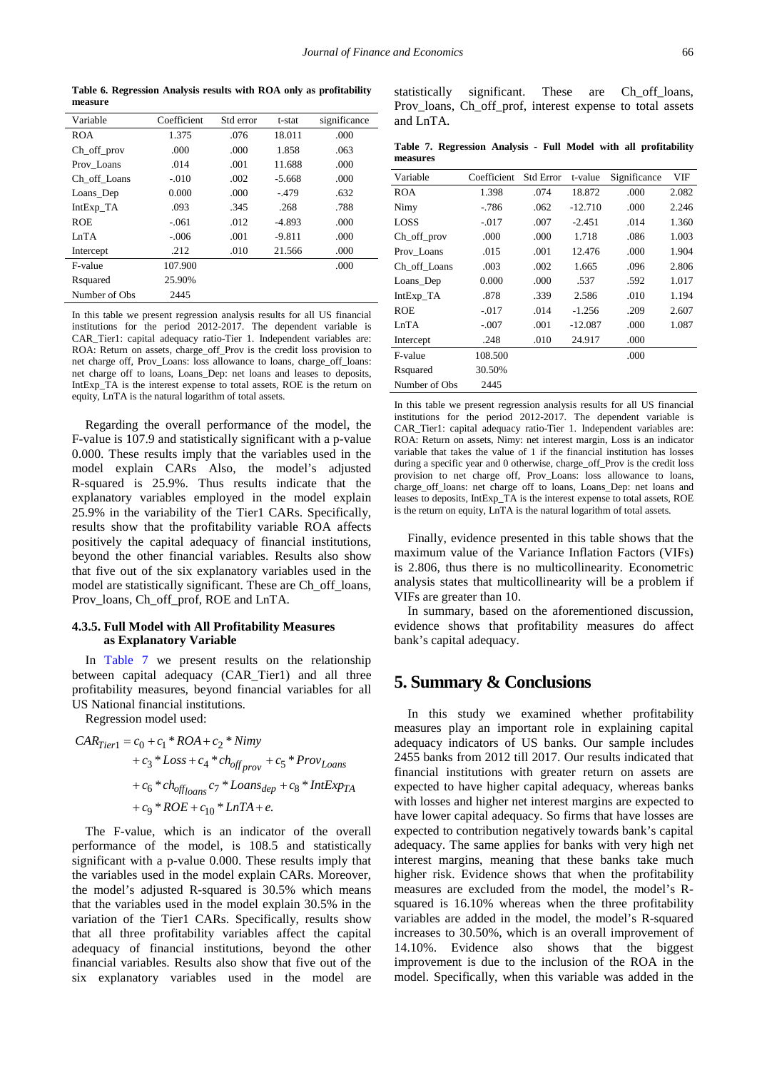**Table 6. Regression Analysis results with ROA only as profitability measure**

<span id="page-4-0"></span>

| Variable       | Coefficient | Std error | t-stat   | significance |
|----------------|-------------|-----------|----------|--------------|
| <b>ROA</b>     | 1.375       | .076      | 18.011   | .000         |
| Ch_off_prov    | .000        | .000      | 1.858    | .063         |
| Prov Loans     | .014        | .001      | 11.688   | .000         |
| Ch off Loans   | $-.010$     | .002      | $-5.668$ | .000         |
| Loans Dep      | 0.000       | .000      | $-.479$  | .632         |
| $IntExp_TA$    | .093        | .345      | .268     | .788         |
| <b>ROE</b>     | $-.061$     | .012      | $-4.893$ | .000         |
| InTA           | $-.006$     | .001      | $-9.811$ | .000         |
| Intercept      | .212        | .010      | 21.566   | .000         |
| F-value        | 107.900     |           |          | .000         |
| Rsquared       | 25.90%      |           |          |              |
| Number of Obs. | 2445        |           |          |              |

In this table we present regression analysis results for all US financial institutions for the period 2012-2017. The dependent variable is CAR\_Tier1: capital adequacy ratio-Tier 1. Independent variables are: ROA: Return on assets, charge off Prov is the credit loss provision to net charge off, Prov\_Loans: loss allowance to loans, charge\_off\_loans: net charge off to loans, Loans\_Dep: net loans and leases to deposits, IntExp\_TA is the interest expense to total assets, ROE is the return on equity, LnTA is the natural logarithm of total assets.

Regarding the overall performance of the model, the F-value is 107.9 and statistically significant with a p-value 0.000. These results imply that the variables used in the model explain CARs Also, the model's adjusted R-squared is 25.9%. Thus results indicate that the explanatory variables employed in the model explain 25.9% in the variability of the Tier1 CARs. Specifically, results show that the profitability variable ROA affects positively the capital adequacy of financial institutions, beyond the other financial variables. Results also show that five out of the six explanatory variables used in the model are statistically significant. These are Ch\_off\_loans, Prov\_loans, Ch\_off\_prof, ROE and LnTA.

#### **4.3.5. Full Model with All Profitability Measures as Explanatory Variable**

In [Table 7](#page-4-1) we present results on the relationship between capital adequacy (CAR\_Tier1) and all three profitability measures, beyond financial variables for all US National financial institutions.

Regression model used:

$$
CAR_{Tier1} = c_0 + c_1 * ROA + c_2 * Nimy
$$
  
+  $c_3 * Loss + c_4 * ch_{off_{prov}} + c_5 * Prov_{Loans}$   
+  $c_6 * ch_{off_{Ioans}} c_7 * Loss_{dep} + c_8 * IntExp_{TA}$   
+  $c_9 * ROE + c_{10} * LnTA + e$ .

The F-value, which is an indicator of the overall performance of the model, is 108.5 and statistically significant with a p-value 0.000. These results imply that the variables used in the model explain CARs. Moreover, the model's adjusted R-squared is 30.5% which means that the variables used in the model explain 30.5% in the variation of the Tier1 CARs. Specifically, results show that all three profitability variables affect the capital adequacy of financial institutions, beyond the other financial variables. Results also show that five out of the six explanatory variables used in the model are

statistically significant. These are Ch off loans, Prov loans, Ch off prof, interest expense to total assets and LnTA.

**Table 7. Regression Analysis - Full Model with all profitability measures**

<span id="page-4-1"></span>

| Variable           | Coefficient | <b>Std Error</b> | t-value   | Significance | VIF   |
|--------------------|-------------|------------------|-----------|--------------|-------|
| <b>ROA</b>         | 1.398       | .074             | 18.872    | .000         | 2.082 |
| Nimy               | $-786$      | .062             | $-12.710$ | .000         | 2.246 |
| LOSS               | $-.017$     | .007             | $-2.451$  | .014         | 1.360 |
| $Ch_$ off $_$ prov | .000        | .000             | 1.718     | .086         | 1.003 |
| Prov Loans         | .015        | .001             | 12.476    | .000         | 1.904 |
| Ch off Loans       | .003        | .002             | 1.665     | .096         | 2.806 |
| Loans_Dep          | 0.000       | .000             | .537      | .592         | 1.017 |
| IntExp_TA          | .878        | .339             | 2.586     | .010         | 1.194 |
| <b>ROE</b>         | $-.017$     | .014             | $-1.256$  | .209         | 2.607 |
| LnTA               | $-.007$     | .001             | $-12.087$ | .000         | 1.087 |
| Intercept          | .248        | .010             | 24.917    | .000         |       |
| F-value            | 108.500     |                  |           | .000         |       |
| Rsquared           | 30.50%      |                  |           |              |       |
| Number of Obs.     | 2445        |                  |           |              |       |

In this table we present regression analysis results for all US financial institutions for the period 2012-2017. The dependent variable is CAR\_Tier1: capital adequacy ratio-Tier 1. Independent variables are: ROA: Return on assets, Nimy: net interest margin, Loss is an indicator variable that takes the value of 1 if the financial institution has losses during a specific year and 0 otherwise, charge\_off\_Prov is the credit loss provision to net charge off, Prov\_Loans: loss allowance to loans, charge\_off\_loans: net charge off to loans, Loans\_Dep: net loans and leases to deposits, IntExp\_TA is the interest expense to total assets, ROE is the return on equity, LnTA is the natural logarithm of total assets.

Finally, evidence presented in this table shows that the maximum value of the Variance Inflation Factors (VIFs) is 2.806, thus there is no multicollinearity. Econometric analysis states that multicollinearity will be a problem if VIFs are greater than 10.

In summary, based on the aforementioned discussion, evidence shows that profitability measures do affect bank's capital adequacy.

# **5. Summary & Conclusions**

In this study we examined whether profitability measures play an important role in explaining capital adequacy indicators of US banks. Our sample includes 2455 banks from 2012 till 2017. Our results indicated that financial institutions with greater return on assets are expected to have higher capital adequacy, whereas banks with losses and higher net interest margins are expected to have lower capital adequacy. So firms that have losses are expected to contribution negatively towards bank's capital adequacy. The same applies for banks with very high net interest margins, meaning that these banks take much higher risk. Evidence shows that when the profitability measures are excluded from the model, the model's Rsquared is 16.10% whereas when the three profitability variables are added in the model, the model's R-squared increases to 30.50%, which is an overall improvement of 14.10%. Evidence also shows that the biggest improvement is due to the inclusion of the ROA in the model. Specifically, when this variable was added in the